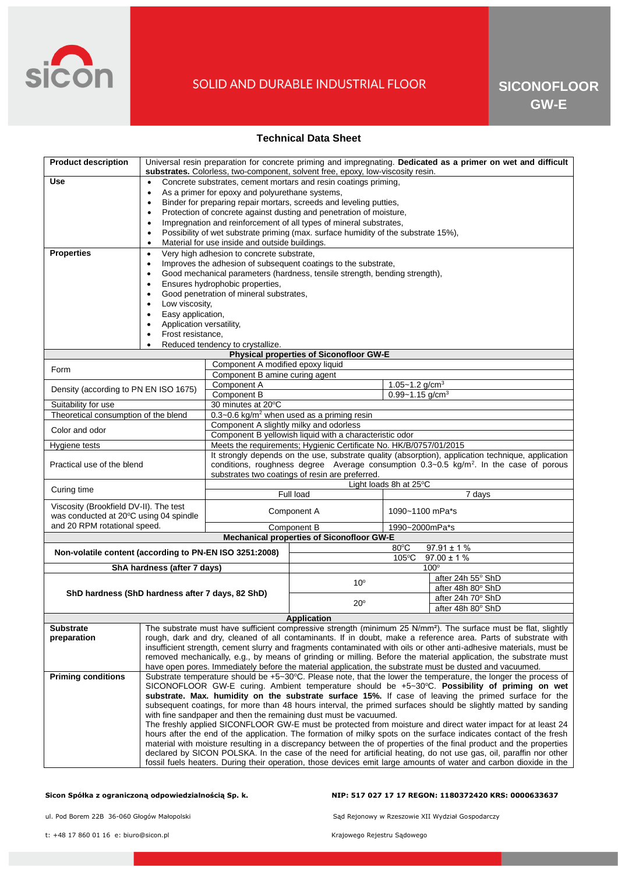

# SOLID AND DURABLE INDUSTRIAL FLOOR

### **Technical Data Sheet**

| <b>Product description</b>                                                | Universal resin preparation for concrete priming and impregnating. Dedicated as a primer on wet and difficult<br>substrates. Colorless, two-component, solvent free, epoxy, low-viscosity resin.                                                                                                                                                    |                                                                                                               |                                                                                                    |                                                                                                    |                                                                                                                             |  |
|---------------------------------------------------------------------------|-----------------------------------------------------------------------------------------------------------------------------------------------------------------------------------------------------------------------------------------------------------------------------------------------------------------------------------------------------|---------------------------------------------------------------------------------------------------------------|----------------------------------------------------------------------------------------------------|----------------------------------------------------------------------------------------------------|-----------------------------------------------------------------------------------------------------------------------------|--|
| <b>Use</b>                                                                | Concrete substrates, cement mortars and resin coatings priming,<br>$\bullet$                                                                                                                                                                                                                                                                        |                                                                                                               |                                                                                                    |                                                                                                    |                                                                                                                             |  |
|                                                                           | As a primer for epoxy and polyurethane systems,<br>$\bullet$                                                                                                                                                                                                                                                                                        |                                                                                                               |                                                                                                    |                                                                                                    |                                                                                                                             |  |
|                                                                           | Binder for preparing repair mortars, screeds and leveling putties,<br>$\bullet$                                                                                                                                                                                                                                                                     |                                                                                                               |                                                                                                    |                                                                                                    |                                                                                                                             |  |
|                                                                           | Protection of concrete against dusting and penetration of moisture,<br>$\bullet$                                                                                                                                                                                                                                                                    |                                                                                                               |                                                                                                    |                                                                                                    |                                                                                                                             |  |
|                                                                           | Impregnation and reinforcement of all types of mineral substrates,<br>$\bullet$                                                                                                                                                                                                                                                                     |                                                                                                               |                                                                                                    |                                                                                                    |                                                                                                                             |  |
|                                                                           | Possibility of wet substrate priming (max. surface humidity of the substrate 15%),                                                                                                                                                                                                                                                                  |                                                                                                               |                                                                                                    |                                                                                                    |                                                                                                                             |  |
|                                                                           | Material for use inside and outside buildings.                                                                                                                                                                                                                                                                                                      |                                                                                                               |                                                                                                    |                                                                                                    |                                                                                                                             |  |
| <b>Properties</b>                                                         | Very high adhesion to concrete substrate,<br>$\bullet$                                                                                                                                                                                                                                                                                              |                                                                                                               |                                                                                                    |                                                                                                    |                                                                                                                             |  |
|                                                                           | Improves the adhesion of subsequent coatings to the substrate,<br>$\bullet$                                                                                                                                                                                                                                                                         |                                                                                                               |                                                                                                    |                                                                                                    |                                                                                                                             |  |
|                                                                           | Good mechanical parameters (hardness, tensile strength, bending strength),                                                                                                                                                                                                                                                                          |                                                                                                               |                                                                                                    |                                                                                                    |                                                                                                                             |  |
|                                                                           | Ensures hydrophobic properties,<br>$\bullet$                                                                                                                                                                                                                                                                                                        |                                                                                                               |                                                                                                    |                                                                                                    |                                                                                                                             |  |
|                                                                           | Good penetration of mineral substrates,<br>$\bullet$                                                                                                                                                                                                                                                                                                |                                                                                                               |                                                                                                    |                                                                                                    |                                                                                                                             |  |
|                                                                           | Low viscosity,                                                                                                                                                                                                                                                                                                                                      |                                                                                                               |                                                                                                    |                                                                                                    |                                                                                                                             |  |
|                                                                           | Easy application,<br>$\bullet$                                                                                                                                                                                                                                                                                                                      |                                                                                                               |                                                                                                    |                                                                                                    |                                                                                                                             |  |
|                                                                           | Application versatility,<br>Frost resistance,<br>$\bullet$                                                                                                                                                                                                                                                                                          |                                                                                                               |                                                                                                    |                                                                                                    |                                                                                                                             |  |
|                                                                           | Reduced tendency to crystallize.                                                                                                                                                                                                                                                                                                                    |                                                                                                               |                                                                                                    |                                                                                                    |                                                                                                                             |  |
| Physical properties of Siconofloor GW-E                                   |                                                                                                                                                                                                                                                                                                                                                     |                                                                                                               |                                                                                                    |                                                                                                    |                                                                                                                             |  |
| Form                                                                      |                                                                                                                                                                                                                                                                                                                                                     | Component A modified epoxy liquid                                                                             |                                                                                                    |                                                                                                    |                                                                                                                             |  |
|                                                                           |                                                                                                                                                                                                                                                                                                                                                     | Component B amine curing agent                                                                                |                                                                                                    |                                                                                                    |                                                                                                                             |  |
| Density (according to PN EN ISO 1675)                                     |                                                                                                                                                                                                                                                                                                                                                     | Component A                                                                                                   |                                                                                                    | 1.05~1.2 g/cm <sup>3</sup>                                                                         |                                                                                                                             |  |
|                                                                           |                                                                                                                                                                                                                                                                                                                                                     | Component B<br>$0.99 - 1.15$ g/cm <sup>3</sup>                                                                |                                                                                                    |                                                                                                    |                                                                                                                             |  |
| Suitability for use<br>Theoretical consumption of the blend               |                                                                                                                                                                                                                                                                                                                                                     | 30 minutes at 20°C<br>0.3~0.6 kg/m <sup>2</sup> when used as a priming resin                                  |                                                                                                    |                                                                                                    |                                                                                                                             |  |
|                                                                           |                                                                                                                                                                                                                                                                                                                                                     | Component A slightly milky and odorless                                                                       |                                                                                                    |                                                                                                    |                                                                                                                             |  |
| Color and odor                                                            |                                                                                                                                                                                                                                                                                                                                                     | Component B yellowish liquid with a characteristic odor                                                       |                                                                                                    |                                                                                                    |                                                                                                                             |  |
| Hygiene tests                                                             |                                                                                                                                                                                                                                                                                                                                                     | Meets the requirements; Hygienic Certificate No. HK/B/0757/01/2015                                            |                                                                                                    |                                                                                                    |                                                                                                                             |  |
|                                                                           |                                                                                                                                                                                                                                                                                                                                                     |                                                                                                               | It strongly depends on the use, substrate quality (absorption), application technique, application |                                                                                                    |                                                                                                                             |  |
| Practical use of the blend                                                |                                                                                                                                                                                                                                                                                                                                                     |                                                                                                               |                                                                                                    | conditions, roughness degree Average consumption 0.3~0.5 kg/m <sup>2</sup> . In the case of porous |                                                                                                                             |  |
| substrates two coatings of resin are preferred.<br>Light loads 8h at 25°C |                                                                                                                                                                                                                                                                                                                                                     |                                                                                                               |                                                                                                    |                                                                                                    |                                                                                                                             |  |
| Curing time                                                               |                                                                                                                                                                                                                                                                                                                                                     | Full load                                                                                                     |                                                                                                    | 7 days                                                                                             |                                                                                                                             |  |
| Viscosity (Brookfield DV-II). The test                                    |                                                                                                                                                                                                                                                                                                                                                     |                                                                                                               |                                                                                                    |                                                                                                    |                                                                                                                             |  |
| was conducted at 20°C using 04 spindle                                    |                                                                                                                                                                                                                                                                                                                                                     | Component A                                                                                                   |                                                                                                    | 1090~1100 mPa*s                                                                                    |                                                                                                                             |  |
| and 20 RPM rotational speed.                                              |                                                                                                                                                                                                                                                                                                                                                     | Component B<br>1990~2000mPa*s                                                                                 |                                                                                                    |                                                                                                    |                                                                                                                             |  |
|                                                                           |                                                                                                                                                                                                                                                                                                                                                     |                                                                                                               | <b>Mechanical properties of Siconofloor GW-E</b>                                                   |                                                                                                    |                                                                                                                             |  |
| Non-volatile content (according to PN-EN ISO 3251:2008)                   |                                                                                                                                                                                                                                                                                                                                                     |                                                                                                               | $97.91 \pm 1 \%$<br>$80^{\circ}$ C                                                                 |                                                                                                    |                                                                                                                             |  |
|                                                                           |                                                                                                                                                                                                                                                                                                                                                     |                                                                                                               | $97.00 \pm 1 \%$<br>$105^{\circ}$ C<br>$100^\circ$                                                 |                                                                                                    |                                                                                                                             |  |
| ShA hardness (after 7 days)                                               |                                                                                                                                                                                                                                                                                                                                                     |                                                                                                               |                                                                                                    |                                                                                                    | after 24h 55° ShD                                                                                                           |  |
| ShD hardness (ShD hardness after 7 days, 82 ShD)                          |                                                                                                                                                                                                                                                                                                                                                     |                                                                                                               | $10^{\circ}$                                                                                       |                                                                                                    | after 48h 80° ShD                                                                                                           |  |
|                                                                           |                                                                                                                                                                                                                                                                                                                                                     |                                                                                                               |                                                                                                    |                                                                                                    | after 24h 70° ShD                                                                                                           |  |
|                                                                           |                                                                                                                                                                                                                                                                                                                                                     |                                                                                                               | $20^{\circ}$                                                                                       |                                                                                                    | after 48h 80° ShD                                                                                                           |  |
| <b>Application</b>                                                        |                                                                                                                                                                                                                                                                                                                                                     |                                                                                                               |                                                                                                    |                                                                                                    |                                                                                                                             |  |
| <b>Substrate</b>                                                          |                                                                                                                                                                                                                                                                                                                                                     |                                                                                                               |                                                                                                    |                                                                                                    | The substrate must have sufficient compressive strength (minimum 25 N/mm <sup>2</sup> ). The surface must be flat, slightly |  |
| preparation                                                               |                                                                                                                                                                                                                                                                                                                                                     | rough, dark and dry, cleaned of all contaminants. If in doubt, make a reference area. Parts of substrate with |                                                                                                    |                                                                                                    |                                                                                                                             |  |
|                                                                           | insufficient strength, cement slurry and fragments contaminated with oils or other anti-adhesive materials, must be<br>removed mechanically, e.g., by means of grinding or milling. Before the material application, the substrate must<br>have open pores. Immediately before the material application, the substrate must be dusted and vacuumed. |                                                                                                               |                                                                                                    |                                                                                                    |                                                                                                                             |  |
|                                                                           |                                                                                                                                                                                                                                                                                                                                                     |                                                                                                               |                                                                                                    |                                                                                                    |                                                                                                                             |  |
| <b>Priming conditions</b>                                                 |                                                                                                                                                                                                                                                                                                                                                     |                                                                                                               |                                                                                                    |                                                                                                    |                                                                                                                             |  |
|                                                                           | Substrate temperature should be +5~30°C. Please note, that the lower the temperature, the longer the process of<br>SICONOFLOOR GW-E curing. Ambient temperature should be +5~30°C. Possibility of priming on wet                                                                                                                                    |                                                                                                               |                                                                                                    |                                                                                                    |                                                                                                                             |  |
|                                                                           | substrate. Max. humidity on the substrate surface 15%. If case of leaving the primed surface for the                                                                                                                                                                                                                                                |                                                                                                               |                                                                                                    |                                                                                                    |                                                                                                                             |  |
|                                                                           | subsequent coatings, for more than 48 hours interval, the primed surfaces should be slightly matted by sanding                                                                                                                                                                                                                                      |                                                                                                               |                                                                                                    |                                                                                                    |                                                                                                                             |  |
|                                                                           | with fine sandpaper and then the remaining dust must be vacuumed.                                                                                                                                                                                                                                                                                   |                                                                                                               |                                                                                                    |                                                                                                    |                                                                                                                             |  |
|                                                                           | The freshly applied SICONFLOOR GW-E must be protected from moisture and direct water impact for at least 24<br>hours after the end of the application. The formation of milky spots on the surface indicates contact of the fresh                                                                                                                   |                                                                                                               |                                                                                                    |                                                                                                    |                                                                                                                             |  |
|                                                                           | material with moisture resulting in a discrepancy between the of properties of the final product and the properties                                                                                                                                                                                                                                 |                                                                                                               |                                                                                                    |                                                                                                    |                                                                                                                             |  |
|                                                                           | declared by SICON POLSKA. In the case of the need for artificial heating, do not use gas, oil, paraffin nor other                                                                                                                                                                                                                                   |                                                                                                               |                                                                                                    |                                                                                                    |                                                                                                                             |  |
|                                                                           | fossil fuels heaters. During their operation, those devices emit large amounts of water and carbon dioxide in the                                                                                                                                                                                                                                   |                                                                                                               |                                                                                                    |                                                                                                    |                                                                                                                             |  |

### **Sicon Spółka z ograniczoną odpowiedzialnością Sp. k. NIP: 517 027 17 17 REGON: 1180372420 KRS: 0000633637**

ul. Pod Borem 22B 36-060 Głogów Małopolski Sąd Rejonowy w Rzeszowie XII Wydział Gospodarczy